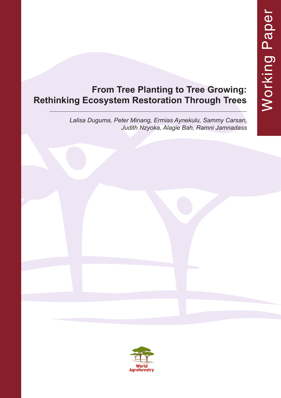# **From Tree Planting to Tree Growing: Rethinking Ecosystem Restoration Through Trees**

*Lalisa Duguma, Peter Minang, Ermias Aynekulu, Sammy Carsan, Judith Nzyoka, Alagie Bah, Ramni Jamnadass*

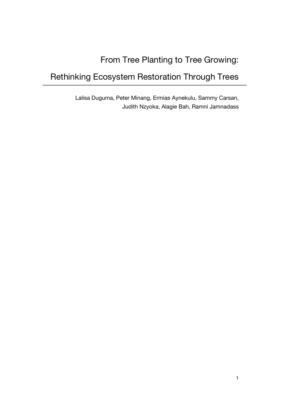# From Tree Planting to Tree Growing:

# Rethinking Ecosystem Restoration Through Trees

Lalisa Duguma, Peter Minang, Ermias Aynekulu, Sammy Carsan, Judith Nzyoka, Alagie Bah, Ramni Jamnadass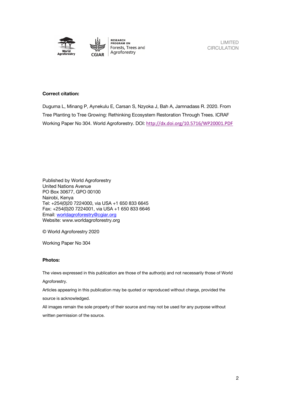

**RESEARCH<br>PROGRAM ON** Forests, Trees and Agroforestry

LIMITED **CIRCULATION** 

#### **Correct citation:**

Duguma L, Minang P, Aynekulu E, Carsan S, Nzyoka J, Bah A, Jamnadass R. 2020. From Tree Planting to Tree Growing: Rethinking Ecosystem Restoration Through Trees. ICRAF Working Paper No 304. World Agroforestry. DOI: http://dx.doi.org/10.5716/WP20001.PDF

Published by World Agroforestry United Nations Avenue PO Box 30677, GPO 00100 Nairobi, Kenya Tel: +254(0)20 7224000, via USA +1 650 833 6645 Fax: +254(0)20 7224001, via USA +1 650 833 6646 Email: worldagroforestry@cgiar.org Website: www.worldagroforestry.org

© World Agroforestry 2020

Working Paper No 304

#### **Photos:**

The views expressed in this publication are those of the author(s) and not necessarily those of World Agroforestry.

Articles appearing in this publication may be quoted or reproduced without charge, provided the source is acknowledged.

All images remain the sole property of their source and may not be used for any purpose without written permission of the source.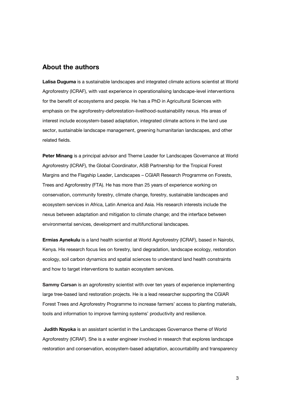#### **About the authors**

**Lalisa Duguma** is a sustainable landscapes and integrated climate actions scientist at World Agroforestry (ICRAF), with vast experience in operationalising landscape-level interventions for the benefit of ecosystems and people. He has a PhD in Agricultural Sciences with emphasis on the agroforestry-deforestation-livelihood-sustainability nexus. His areas of interest include ecosystem-based adaptation, integrated climate actions in the land use sector, sustainable landscape management, greening humanitarian landscapes, and other related fields.

**Peter Minang** is a principal advisor and Theme Leader for Landscapes Governance at World Agroforestry (ICRAF), the Global Coordinator, ASB Partnership for the Tropical Forest Margins and the Flagship Leader, Landscapes – CGIAR Research Programme on Forests, Trees and Agroforestry (FTA). He has more than 25 years of experience working on conservation, community forestry, climate change, forestry, sustainable landscapes and ecosystem services in Africa, Latin America and Asia. His research interests include the nexus between adaptation and mitigation to climate change; and the interface between environmental services, development and multifunctional landscapes.

**Ermias Aynekulu** is a land health scientist at World Agroforestry (ICRAF), based in Nairobi, Kenya. His research focus lies on forestry, land degradation, landscape ecology, restoration ecology, soil carbon dynamics and spatial sciences to understand land health constraints and how to target interventions to sustain ecosystem services.

**Sammy Carsan** is an agroforestry scientist with over ten years of experience implementing large tree-based land restoration projects. He is a lead researcher supporting the CGIAR Forest Trees and Agroforestry Programme to increase farmers' access to planting materials, tools and information to improve farming systems' productivity and resilience.

**Judith Nzyoka** is an assistant scientist in the Landscapes Governance theme of World Agroforestry (ICRAF). She is a water engineer involved in research that explores landscape restoration and conservation, ecosystem-based adaptation, accountability and transparency

3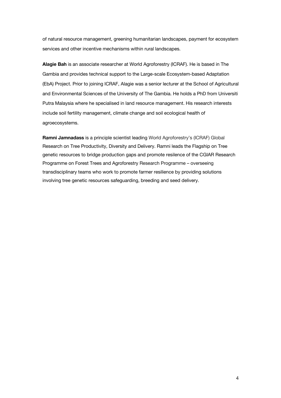of natural resource management, greening humanitarian landscapes, payment for ecosystem services and other incentive mechanisms within rural landscapes.

**Alagie Bah** is an associate researcher at World Agroforestry (ICRAF). He is based in The Gambia and provides technical support to the Large-scale Ecosystem-based Adaptation (EbA) Project. Prior to joining ICRAF, Alagie was a senior lecturer at the School of Agricultural and Environmental Sciences of the University of The Gambia. He holds a PhD from Universiti Putra Malaysia where he specialised in land resource management. His research interests include soil fertility management, climate change and soil ecological health of agroecosystems.

**Ramni Jamnadass** is a principle scientist leading World Agroforestry's (ICRAF) Global Research on Tree Productivity, Diversity and Delivery. Ramni leads the Flagship on Tree genetic resources to bridge production gaps and promote resilence of the CGIAR Research Programme on Forest Trees and Agroforestry Research Programme – overseeing transdisciplinary teams who work to promote farmer resilience by providing solutions involving tree genetic resources safeguarding, breeding and seed delivery.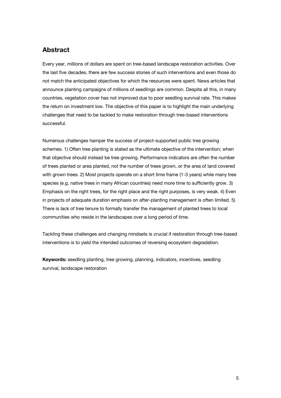## **Abstract**

Every year, millions of dollars are spent on tree-based landscape restoration activities. Over the last five decades, there are few success stories of such interventions and even those do not match the anticipated objectives for which the resources were spent. News articles that announce planting campaigns of millions of seedlings are common. Despite all this, in many countries, vegetation cover has not improved due to poor seedling survival rate. This makes the return on investment low. The objective of this paper is to highlight the main underlying challenges that need to be tackled to make restoration through tree-based interventions successful.

Numerous challenges hamper the success of project-supported public tree growing schemes. 1) Often tree planting is stated as the ultimate objective of the intervention; when that objective should instead be tree growing. Performance indicators are often the number of trees planted or area planted, not the number of trees grown, or the area of land covered with grown trees. 2) Most projects operate on a short time frame (1-3 years) while many tree species (e.g. native trees in many African countries) need more time to sufficiently grow. 3) Emphasis on the right trees, for the right place and the right purposes, is very weak. 4) Even in projects of adequate duration emphasis on after-planting management is often limited. 5) There is lack of tree tenure to formally transfer the management of planted trees to local communities who reside in the landscapes over a long period of time.

Tackling these challenges and changing mindsets is crucial if restoration through tree-based interventions is to yield the intended outcomes of reversing ecosystem degradation.

**Keywords:** seedling planting, tree growing, planning, indicators, incentives, seedling survival, landscape restoration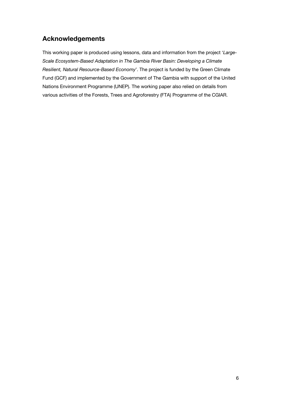## **Acknowledgements**

This working paper is produced using lessons, data and information from the project '*Large-Scale Ecosystem-Based Adaptation in The Gambia River Basin: Developing a Climate Resilient, Natural Resource-Based Economy*'. The project is funded by the Green Climate Fund (GCF) and implemented by the Government of The Gambia with support of the United Nations Environment Programme (UNEP). The working paper also relied on details from various activities of the Forests, Trees and Agroforestry (FTA) Programme of the CGIAR.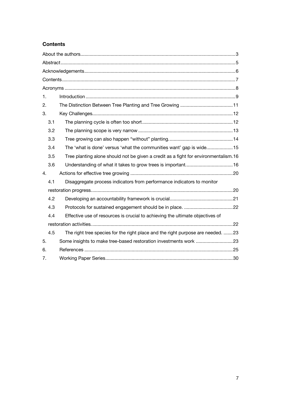### **Contents**

| 1. |     |                                                                                      |  |
|----|-----|--------------------------------------------------------------------------------------|--|
| 2. |     |                                                                                      |  |
| 3. |     |                                                                                      |  |
|    | 3.1 |                                                                                      |  |
|    | 3.2 |                                                                                      |  |
|    | 3.3 |                                                                                      |  |
|    | 3.4 | The 'what is done' versus 'what the communities want' gap is wide15                  |  |
|    | 3.5 | Tree planting alone should not be given a credit as a fight for environmentalism. 16 |  |
|    | 3.6 |                                                                                      |  |
| 4. |     |                                                                                      |  |
|    | 4.1 | Disaggregate process indicators from performance indicators to monitor               |  |
|    |     |                                                                                      |  |
|    | 4.2 |                                                                                      |  |
|    | 4.3 |                                                                                      |  |
|    | 4.4 | Effective use of resources is crucial to achieving the ultimate objectives of        |  |
|    |     |                                                                                      |  |
|    | 4.5 | The right tree species for the right place and the right purpose are needed. 23      |  |
| 5. |     | Some insights to make tree-based restoration investments work 23                     |  |
| 6. |     |                                                                                      |  |
| 7. |     |                                                                                      |  |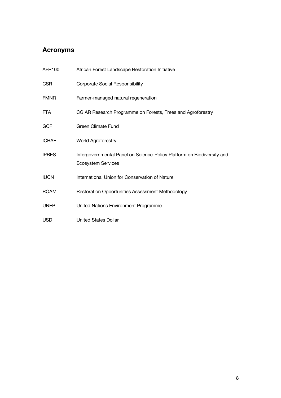## **Acronyms**

| AFR100       | African Forest Landscape Restoration Initiative                                                     |
|--------------|-----------------------------------------------------------------------------------------------------|
| <b>CSR</b>   | <b>Corporate Social Responsibility</b>                                                              |
| <b>FMNR</b>  | Farmer-managed natural regeneration                                                                 |
| <b>FTA</b>   | CGIAR Research Programme on Forests, Trees and Agroforestry                                         |
| <b>GCF</b>   | <b>Green Climate Fund</b>                                                                           |
| <b>ICRAF</b> | World Agroforestry                                                                                  |
| <b>IPBES</b> | Intergovernmental Panel on Science-Policy Platform on Biodiversity and<br><b>Ecosystem Services</b> |
| <b>IUCN</b>  | International Union for Conservation of Nature                                                      |
| <b>ROAM</b>  | <b>Restoration Opportunities Assessment Methodology</b>                                             |
| <b>UNEP</b>  | United Nations Environment Programme                                                                |
| <b>USD</b>   | <b>United States Dollar</b>                                                                         |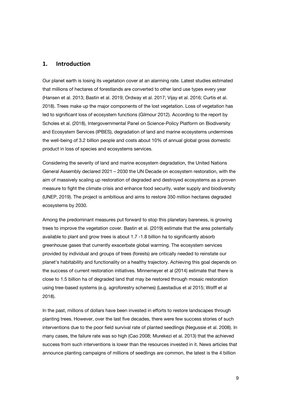#### **1. Introduction**

Our planet earth is losing its vegetation cover at an alarming rate. Latest studies estimated that millions of hectares of forestlands are converted to other land use types every year (Hansen et al. 2013; Bastin et al. 2019; Ordway et al. 2017; Vijay et al. 2016; Curtis et al. 2018). Trees make up the major components of the lost vegetation. Loss of vegetation has led to significant loss of ecosystem functions (Gilmour 2012). According to the report by Scholes et al. (2018), Intergovernmental Panel on Science-Policy Platform on Biodiversity and Ecosystem Services (IPBES), degradation of land and marine ecosystems undermines the well-being of 3.2 billion people and costs about 10% of annual global gross domestic product in loss of species and ecosystems services.

Considering the severity of land and marine ecosystem degradation, the United Nations General Assembly declared 2021 – 2030 the UN Decade on ecosystem restoration, with the aim of massively scaling up restoration of degraded and destroyed ecosystems as a proven measure to fight the climate crisis and enhance food security, water supply and biodiversity (UNEP, 2019). The project is ambitious and aims to restore 350 million hectares degraded ecosystems by 2030.

Among the predominant measures put forward to stop this planetary bareness, is growing trees to improve the vegetation cover. Bastin et al. (2019) estimate that the area potentially available to plant and grow trees is about 1.7 -1.8 billion ha to significantly absorb greenhouse gases that currently exacerbate global warming. The ecosystem services provided by individual and groups of trees (forests) are critically needed to reinstate our planet's habitability and functionality on a healthy trajectory. Achieving this goal depends on the success of current restoration initiatives. Minnemeyer et al (2014) estimate that there is close to 1.5 billion ha of degraded land that may be restored through mosaic restoration using tree-based systems (e.g. agroforestry schemes) (Laestadius et al 2015; Wolff et al 2018).

In the past, millions of dollars have been invested in efforts to restore landscapes through planting trees. However, over the last five decades, there were few success stories of such interventions due to the poor field survival rate of planted seedlings (Negussie et al. 2008). In many cases, the failure rate was so high (Cao 2008; Murekezi et al. 2013) that the achieved success from such interventions is lower than the resources invested in it. News articles that announce planting campaigns of millions of seedlings are common, the latest is the 4 billion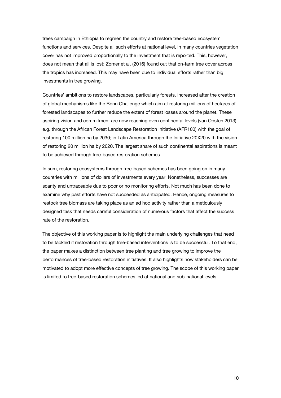trees campaign in Ethiopia to regreen the country and restore tree-based ecosystem functions and services. Despite all such efforts at national level, in many countries vegetation cover has not improved proportionally to the investment that is reported. This, however, does not mean that all is lost: Zomer et al. (2016) found out that on-farm tree cover across the tropics has increased. This may have been due to individual efforts rather than big investments in tree growing.

Countries' ambitions to restore landscapes, particularly forests, increased after the creation of global mechanisms like the Bonn Challenge which aim at restoring millions of hectares of forested landscapes to further reduce the extent of forest losses around the planet. These aspiring vision and commitment are now reaching even continental levels (van Oosten 2013) e.g. through the African Forest Landscape Restoration Initiative (AFR100) with the goal of restoring 100 million ha by 2030; in Latin America through the Initiative 20X20 with the vision of restoring 20 million ha by 2020. The largest share of such continental aspirations is meant to be achieved through tree-based restoration schemes.

In sum, restoring ecosystems through tree-based schemes has been going on in many countries with millions of dollars of investments every year. Nonetheless, successes are scanty and untraceable due to poor or no monitoring efforts. Not much has been done to examine why past efforts have not succeeded as anticipated. Hence, ongoing measures to restock tree biomass are taking place as an ad hoc activity rather than a meticulously designed task that needs careful consideration of numerous factors that affect the success rate of the restoration.

The objective of this working paper is to highlight the main underlying challenges that need to be tackled if restoration through tree-based interventions is to be successful. To that end, the paper makes a distinction between tree planting and tree growing to improve the performances of tree-based restoration initiatives. It also highlights how stakeholders can be motivated to adopt more effective concepts of tree growing. The scope of this working paper is limited to tree-based restoration schemes led at national and sub-national levels.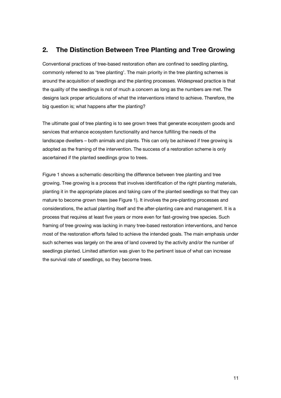## **2. The Distinction Between Tree Planting and Tree Growing**

Conventional practices of tree-based restoration often are confined to seedling planting, commonly referred to as 'tree planting'. The main priority in the tree planting schemes is around the acquisition of seedlings and the planting processes. Widespread practice is that the quality of the seedlings is not of much a concern as long as the numbers are met. The designs lack proper articulations of what the interventions intend to achieve. Therefore, the big question is; what happens after the planting?

The ultimate goal of tree planting is to see grown trees that generate ecosystem goods and services that enhance ecosystem functionality and hence fulfilling the needs of the landscape dwellers – both animals and plants. This can only be achieved if tree growing is adopted as the framing of the intervention. The success of a restoration scheme is only ascertained if the planted seedlings grow to trees.

Figure 1 shows a schematic describing the difference between tree planting and tree growing. Tree growing is a process that involves identification of the right planting materials, planting it in the appropriate places and taking care of the planted seedlings so that they can mature to become grown trees (see Figure 1). It involves the pre-planting processes and considerations, the actual planting itself and the after-planting care and management. It is a process that requires at least five years or more even for fast-growing tree species. Such framing of tree growing was lacking in many tree-based restoration interventions, and hence most of the restoration efforts failed to achieve the intended goals. The main emphasis under such schemes was largely on the area of land covered by the activity and/or the number of seedlings planted. Limited attention was given to the pertinent issue of what can increase the survival rate of seedlings, so they become trees.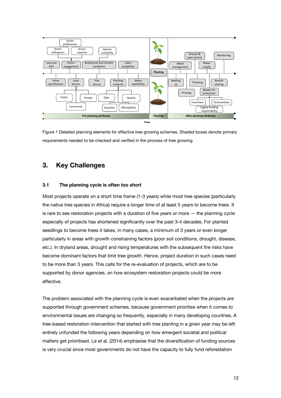

Figure 1 Detailed planning elements for effective tree growing schemes. Shaded boxes denote primary requirements needed to be checked and verified in the process of tree growing.

## **3. Key Challenges**

#### **3.1 The planning cycle is often too short**

Most projects operate on a short time frame (1-3 years) while most tree species (particularly the native tree species in Africa) require a longer time of at least 5 years to become trees. It is rare to see restoration projects with a duration of five years or more — the planning cycle especially of projects has shortened significantly over the past 3-4 decades. For planted seedlings to become trees it takes, in many cases, a minimum of 3 years or even longer particularly in areas with growth constraining factors (poor soil conditions, drought, disease, etc.). In dryland areas, drought and rising temperatures with the subsequent fire risks have become dominant factors that limit tree growth. Hence, project duration in such cases need to be more than 3 years. This calls for the re-evaluation of projects, which are to be supported by donor agencies, on how ecosystem restoration projects could be more effective.

The problem associated with the planning cycle is even exacerbated when the projects are supported through government schemes, because government priorities when it comes to environmental issues are changing so frequently, especially in many developing countries. A tree-based restoration intervention that started with tree planting in a given year may be left entirely unfunded the following years depending on how emergent societal and political matters get prioritised. Le et al. (2014) emphasise that the diversification of funding sources is very crucial since most governments do not have the capacity to fully fund reforestation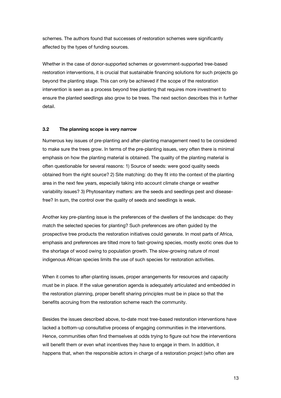schemes. The authors found that successes of restoration schemes were significantly affected by the types of funding sources.

Whether in the case of donor-supported schemes or government-supported tree-based restoration interventions, it is crucial that sustainable financing solutions for such projects go beyond the planting stage. This can only be achieved if the scope of the restoration intervention is seen as a process beyond tree planting that requires more investment to ensure the planted seedlings also grow to be trees. The next section describes this in further detail.

#### **3.2 The planning scope is very narrow**

Numerous key issues of pre-planting and after-planting management need to be considered to make sure the trees grow. In terms of the pre-planting issues, very often there is minimal emphasis on how the planting material is obtained. The quality of the planting material is often questionable for several reasons: 1) Source of seeds: were good quality seeds obtained from the right source? 2) Site matching: do they fit into the context of the planting area in the next few years, especially taking into account climate change or weather variability issues? 3) Phytosanitary matters: are the seeds and seedlings pest and diseasefree? In sum, the control over the quality of seeds and seedlings is weak.

Another key pre-planting issue is the preferences of the dwellers of the landscape: do they match the selected species for planting? Such preferences are often guided by the prospective tree products the restoration initiatives could generate. In most parts of Africa, emphasis and preferences are tilted more to fast-growing species, mostly exotic ones due to the shortage of wood owing to population growth. The slow-growing nature of most indigenous African species limits the use of such species for restoration activities.

When it comes to after-planting issues, proper arrangements for resources and capacity must be in place. If the value generation agenda is adequately articulated and embedded in the restoration planning, proper benefit sharing principles must be in place so that the benefits accruing from the restoration scheme reach the community.

Besides the issues described above, to-date most tree-based restoration interventions have lacked a bottom-up consultative process of engaging communities in the interventions. Hence, communities often find themselves at odds trying to figure out how the interventions will benefit them or even what incentives they have to engage in them. In addition, it happens that, when the responsible actors in charge of a restoration project (who often are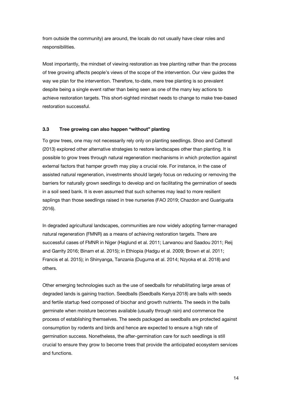from outside the community) are around, the locals do not usually have clear roles and responsibilities.

Most importantly, the mindset of viewing restoration as tree planting rather than the process of tree growing affects people's views of the scope of the intervention. Our view guides the way we plan for the intervention. Therefore, to-date, mere tree planting is so prevalent despite being a single event rather than being seen as one of the many key actions to achieve restoration targets. This short-sighted mindset needs to change to make tree-based restoration successful.

#### **3.3 Tree growing can also happen "without" planting**

To grow trees, one may not necessarily rely only on planting seedlings. Shoo and Catterall (2013) explored other alternative strategies to restore landscapes other than planting. It is possible to grow trees through natural regeneration mechanisms in which protection against external factors that hamper growth may play a crucial role. For instance, in the case of assisted natural regeneration, investments should largely focus on reducing or removing the barriers for naturally grown seedlings to develop and on facilitating the germination of seeds in a soil seed bank. It is even assumed that such schemes may lead to more resilient saplings than those seedlings raised in tree nurseries (FAO 2019; Chazdon and Guariguata 2016).

In degraded agricultural landscapes, communities are now widely adopting farmer-managed natural regeneration (FMNR) as a means of achieving restoration targets. There are successful cases of FMNR in Niger (Haglund et al. 2011; Larwanou and Saadou 2011; Reij and Garrity 2016; Binam et al. 2015); in Ethiopia (Hadgu et al. 2009; Brown et al. 2011; Francis et al. 2015); in Shinyanga, Tanzania (Duguma et al. 2014; Nzyoka et al. 2018) and others.

Other emerging technologies such as the use of seedballs for rehabilitating large areas of degraded lands is gaining traction. Seedballs (Seedballs Kenya 2018) are balls with seeds and fertile startup feed composed of biochar and growth nutrients. The seeds in the balls germinate when moisture becomes available (usually through rain) and commence the process of establishing themselves. The seeds packaged as seedballs are protected against consumption by rodents and birds and hence are expected to ensure a high rate of germination success. Nonetheless, the after-germination care for such seedlings is still crucial to ensure they grow to become trees that provide the anticipated ecosystem services and functions.

14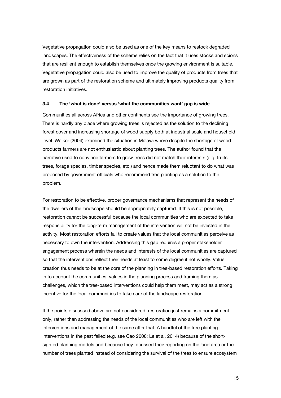Vegetative propagation could also be used as one of the key means to restock degraded landscapes. The effectiveness of the scheme relies on the fact that it uses stocks and scions that are resilient enough to establish themselves once the growing environment is suitable. Vegetative propagation could also be used to improve the quality of products from trees that are grown as part of the restoration scheme and ultimately improving products quality from restoration initiatives.

#### **3.4 The 'what is done' versus 'what the communities want' gap is wide**

Communities all across Africa and other continents see the importance of growing trees. There is hardly any place where growing trees is rejected as the solution to the declining forest cover and increasing shortage of wood supply both at industrial scale and household level. Walker (2004) examined the situation in Malawi where despite the shortage of wood products farmers are not enthusiastic about planting trees. The author found that the narrative used to convince farmers to grow trees did not match their interests (e.g. fruits trees, forage species, timber species, etc.) and hence made them reluctant to do what was proposed by government officials who recommend tree planting as a solution to the problem.

For restoration to be effective, proper governance mechanisms that represent the needs of the dwellers of the landscape should be appropriately captured. If this is not possible, restoration cannot be successful because the local communities who are expected to take responsibility for the long-term management of the intervention will not be invested in the activity. Most restoration efforts fail to create values that the local communities perceive as necessary to own the intervention. Addressing this gap requires a proper stakeholder engagement process wherein the needs and interests of the local communities are captured so that the interventions reflect their needs at least to some degree if not wholly. Value creation thus needs to be at the core of the planning in tree-based restoration efforts. Taking in to account the communities' values in the planning process and framing them as challenges, which the tree-based interventions could help them meet, may act as a strong incentive for the local communities to take care of the landscape restoration.

If the points discussed above are not considered, restoration just remains a commitment only, rather than addressing the needs of the local communities who are left with the interventions and management of the same after that. A handful of the tree planting interventions in the past failed (e.g. see Cao 2008; Le et al. 2014) because of the shortsighted planning models and because they focussed their reporting on the land area or the number of trees planted instead of considering the survival of the trees to ensure ecosystem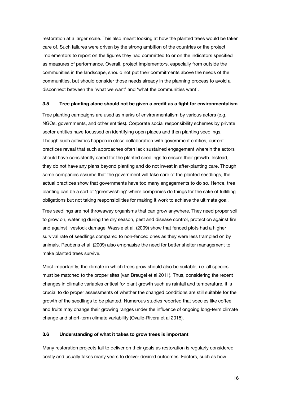restoration at a larger scale. This also meant looking at how the planted trees would be taken care of. Such failures were driven by the strong ambition of the countries or the project implementors to report on the figures they had committed to or on the indicators specified as measures of performance. Overall, project implementors, especially from outside the communities in the landscape, should not put their commitments above the needs of the communities, but should consider those needs already in the planning process to avoid a disconnect between the 'what we want' and 'what the communities want'.

#### **3.5 Tree planting alone should not be given a credit as a fight for environmentalism**

Tree planting campaigns are used as marks of environmentalism by various actors (e.g. NGOs, governments, and other entities). Corporate social responsibility schemes by private sector entities have focussed on identifying open places and then planting seedlings. Though such activities happen in close collaboration with government entities, current practices reveal that such approaches often lack sustained engagement wherein the actors should have consistently cared for the planted seedlings to ensure their growth. Instead, they do not have any plans beyond planting and do not invest in after-planting care. Though some companies assume that the government will take care of the planted seedlings, the actual practices show that governments have too many engagements to do so. Hence, tree planting can be a sort of 'greenwashing' where companies do things for the sake of fulfilling obligations but not taking responsibilities for making it work to achieve the ultimate goal.

Tree seedlings are not throwaway organisms that can grow anywhere. They need proper soil to grow on, watering during the dry season, pest and disease control, protection against fire and against livestock damage. Wassie et al. (2009) show that fenced plots had a higher survival rate of seedlings compared to non-fenced ones as they were less trampled on by animals. Reubens et al. (2009) also emphasise the need for better shelter management to make planted trees survive.

Most importantly, the climate in which trees grow should also be suitable, i.e. all species must be matched to the proper sites (van Breugel et al 2011). Thus, considering the recent changes in climatic variables critical for plant growth such as rainfall and temperature, it is crucial to do proper assessments of whether the changed conditions are still suitable for the growth of the seedlings to be planted. Numerous studies reported that species like coffee and fruits may change their growing ranges under the influence of ongoing long-term climate change and short-term climate variability (Ovalle-Rivera et al 2015).

#### **3.6 Understanding of what it takes to grow trees is important**

Many restoration projects fail to deliver on their goals as restoration is regularly considered costly and usually takes many years to deliver desired outcomes. Factors, such as how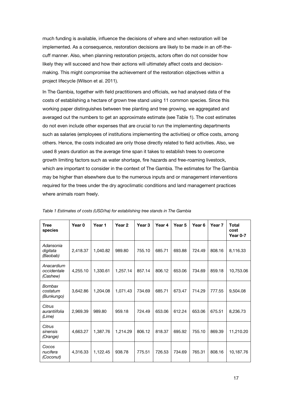much funding is available, influence the decisions of where and when restoration will be implemented. As a consequence, restoration decisions are likely to be made in an off-thecuff manner. Also, when planning restoration projects, actors often do not consider how likely they will succeed and how their actions will ultimately affect costs and decisionmaking. This might compromise the achievement of the restoration objectives within a project lifecycle (Wilson et al. 2011).

In The Gambia, together with field practitioners and officials, we had analysed data of the costs of establishing a hectare of grown tree stand using 11 common species. Since this working paper distinguishes between tree planting and tree growing, we aggregated and averaged out the numbers to get an approximate estimate (see Table 1). The cost estimates do not even include other expenses that are crucial to run the implementing departments such as salaries (employees of institutions implementing the activities) or office costs, among others. Hence, the costs indicated are only those directly related to field activities. Also, we used 8 years duration as the average time span it takes to establish trees to overcome growth limiting factors such as water shortage, fire hazards and free-roaming livestock, which are important to consider in the context of The Gambia. The estimates for The Gambia may be higher than elsewhere due to the numerous inputs and or management interventions required for the trees under the dry agroclimatic conditions and land management practices where animals roam freely.

| <b>Tree</b><br>species                | Year 0   | Year 1   | Year <sub>2</sub> | Year <sub>3</sub> | Year 4 | Year <sub>5</sub> | Year 6 | Year <sub>7</sub> | <b>Total</b><br>cost<br>Year $0-7$ |
|---------------------------------------|----------|----------|-------------------|-------------------|--------|-------------------|--------|-------------------|------------------------------------|
| Adansonia<br>digitata<br>(Baobab)     | 2,418.37 | 1,040.82 | 989.80            | 755.10            | 685.71 | 693.88            | 724.49 | 808.16            | 8,116.33                           |
| Anacardium<br>occidentale<br>(Cashew) | 4,255.10 | 1,330.61 | 1,257.14          | 857.14            | 806.12 | 653.06            | 734.69 | 859.18            | 10,753.06                          |
| Bombax<br>costatum<br>(Bunkungo)      | 3,642.86 | 1.204.08 | 1,071.43          | 734.69            | 685.71 | 673.47            | 714.29 | 777.55            | 9,504.08                           |
| Citrus<br>aurantiifolia<br>(Lime)     | 2.969.39 | 989.80   | 959.18            | 724.49            | 653.06 | 612.24            | 653.06 | 675.51            | 8,236.73                           |
| Citrus<br>sinensis<br>(Orange)        | 4,663.27 | 1,387.76 | 1,214.29          | 806.12            | 818.37 | 695.92            | 755.10 | 869.39            | 11,210.20                          |
| Cocos<br>nucifera<br>(Coconut)        | 4,316.33 | 1,122.45 | 938.78            | 775.51            | 726.53 | 734.69            | 765.31 | 808.16            | 10,187.76                          |

|  |  |  | Table 1 Estimates of costs (USD/ha) for establishing tree stands in The Gambia |
|--|--|--|--------------------------------------------------------------------------------|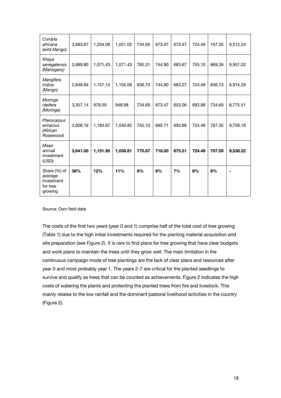| Cordyla<br>africana<br>(wild Mango)                          | 3,683.67 | 1,204.08 | 1,051.02 | 734.69 | 673.47 | 673.47 | 724.49 | 767.35 | 9,512.24       |
|--------------------------------------------------------------|----------|----------|----------|--------|--------|--------|--------|--------|----------------|
| Khaya<br>senegalensis<br>(Mahogany)                          | 3,989.80 | 1,071.43 | 1,071.43 | 765.31 | 744.90 | 683.67 | 755.10 | 869.39 | 9,951.02       |
| Mangifera<br>indica<br>(Mango)                               | 2.846.94 | 1,157.14 | 1,104.08 | 836.73 | 744.90 | 663.27 | 724.49 | 836.73 | 8,914.29       |
| Moringa<br>oleifera<br>(Moringa)                             | 3,357.14 | 979.59   | 948.98   | 734.69 | 673.47 | 653.06 | 693.88 | 734.69 | 8,775.51       |
| Pterocarpus<br>erinacius<br>(African<br>Rosewood)            | 3,908.16 | 1,183.67 | 1,040.82 | 755.10 | 685.71 | 693.88 | 724.49 | 767.35 | 9,759.18       |
| Mean<br>annual<br>investment<br>(USD)                        | 3,641.00 | 1,151.95 | 1,058.81 | 770.87 | 718.00 | 675.51 | 724.49 | 797.59 | 9,538.22       |
| Share (%) of<br>average<br>investment<br>for tree<br>growing | 38%      | 12%      | 11%      | 8%     | 8%     | 7%     | 8%     | 8%     | $\blacksquare$ |

Source: Own field data

The costs of the first two years (year 0 and 1) comprise half of the total cost of tree growing (Table 1) due to the high initial investments required for the planting material acquisition and site preparation (see Figure 2). It is rare to find plans for tree growing that have clear budgets and work plans to maintain the trees until they grow well. The main limitation in the continuous campaign mode of tree plantings are the lack of clear plans and resources after year 0 and most probably year 1. The years 2-7 are critical for the planted seedlings to survive and qualify as trees that can be counted as achievements. Figure 2 indicates the high costs of watering the plants and protecting the planted trees from fire and livestock. This mainly relates to the low rainfall and the dominant pastoral livelihood activities in the country (Figure 2).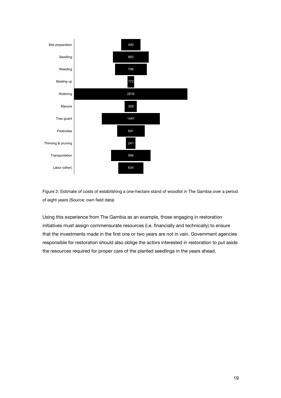

Figure 2: Estimate of costs of establishing a one-hectare stand of woodlot in The Gambia over a period of eight years (Source: own field data)

Using this experience from The Gambia as an example, those engaging in restoration initiatives must assign commensurate resources (i.e. financially and technically) to ensure that the investments made in the first one or two years are not in vain. Government agencies responsible for restoration should also oblige the actors interested in restoration to put aside the resources required for proper care of the planted seedlings in the years ahead.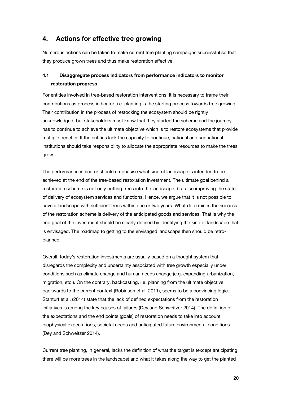## **4. Actions for effective tree growing**

Numerous actions can be taken to make current tree planting campaigns successful so that they produce grown trees and thus make restoration effective.

## **4.1 Disaggregate process indicators from performance indicators to monitor restoration progress**

For entities involved in tree-based restoration interventions, it is necessary to frame their contributions as process indicator, i.e. planting is the starting process towards tree growing. Their contribution in the process of restocking the ecosystem should be rightly acknowledged, but stakeholders must know that they started the scheme and the journey has to continue to achieve the ultimate objective which is to restore ecosystems that provide multiple benefits. If the entities lack the capacity to continue, national and subnational institutions should take responsibility to allocate the appropriate resources to make the trees grow.

The performance indicator should emphasise what kind of landscape is intended to be achieved at the end of the tree-based restoration investment. The ultimate goal behind a restoration scheme is not only putting trees into the landscape, but also improving the state of delivery of ecosystem services and functions. Hence, we argue that it is not possible to have a landscape with sufficient trees within one or two years. What determines the success of the restoration scheme is delivery of the anticipated goods and services. That is why the end goal of the investment should be clearly defined by identifying the kind of landscape that is envisaged. The roadmap to getting to the envisaged landscape then should be retroplanned.

Overall, today's restoration investments are usually based on a thought system that disregards the complexity and uncertainty associated with tree growth especially under conditions such as climate change and human needs change (e.g. expanding urbanization, migration, etc.). On the contrary, backcasting, i.e. planning from the ultimate objective backwards to the current context (Robinson et al. 2011), seems to be a convincing logic. Stanturf et al. (2014) state that the lack of defined expectations from the restoration initiatives is among the key causes of failures (Dey and Schweitzer 2014). The definition of the expectations and the end points (goals) of restoration needs to take into account biophysical expectations, societal needs and anticipated future environmental conditions (Dey and Schweitzer 2014).

Current tree planting, in general, lacks the definition of what the target is (except anticipating there will be more trees in the landscape) and what it takes along the way to get the planted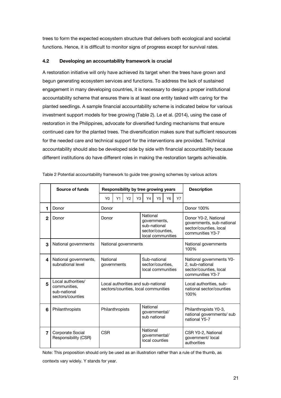trees to form the expected ecosystem structure that delivers both ecological and societal functions. Hence, it is difficult to monitor signs of progress except for survival rates.

#### **4.2 Developing an accountability framework is crucial**

A restoration initiative will only have achieved its target when the trees have grown and begun generating ecosystem services and functions. To address the lack of sustained engagement in many developing countries, it is necessary to design a proper institutional accountability scheme that ensures there is at least one entity tasked with caring for the planted seedlings. A sample financial accountability scheme is indicated below for various investment support models for tree growing (Table 2). Le et al. (2014), using the case of restoration in the Philippines, advocate for diversified funding mechanisms that ensure continued care for the planted trees. The diversification makes sure that sufficient resources for the needed care and technical support for the interventions are provided. Technical accountability should also be developed side by side with financial accountability because different institutions do have different roles in making the restoration targets achievable.

|              | Source of funds                                                        | Responsibility by tree growing years |                                                                           |                |                                                                                   |                                                       |                |                                                             | <b>Description</b>                                                                              |                                                                                           |
|--------------|------------------------------------------------------------------------|--------------------------------------|---------------------------------------------------------------------------|----------------|-----------------------------------------------------------------------------------|-------------------------------------------------------|----------------|-------------------------------------------------------------|-------------------------------------------------------------------------------------------------|-------------------------------------------------------------------------------------------|
|              |                                                                        | Y0                                   | Y1                                                                        | Y <sub>2</sub> | Y3                                                                                | Y4                                                    | Y <sub>5</sub> | Y6                                                          | <b>Y7</b>                                                                                       |                                                                                           |
| 1            | Donor                                                                  | Donor                                |                                                                           |                |                                                                                   |                                                       |                |                                                             |                                                                                                 | Donor 100%                                                                                |
| $\mathbf{2}$ | Donor                                                                  | Donor                                |                                                                           |                | National<br>governments,<br>sub-national<br>sector/counties,<br>local communities |                                                       |                |                                                             | Donor Y0-2, National<br>governments, sub-national<br>sector/counties, local<br>communities Y3-7 |                                                                                           |
| 3            | National governments                                                   |                                      | National governments                                                      |                |                                                                                   |                                                       |                | National governments<br>100%                                |                                                                                                 |                                                                                           |
| 4            | National governments,<br>subnational level                             | National<br>governments              |                                                                           |                |                                                                                   | Sub-national<br>sector/counties.<br>local communities |                |                                                             |                                                                                                 | National governments Y0-<br>2, sub-national<br>sector/counties, local<br>communities Y3-7 |
| 5            | Local authorities/<br>communities,<br>sub-national<br>sectors/counties |                                      | Local authorities and sub-national<br>sectors/counties, local communities |                |                                                                                   |                                                       |                | Local authorities, sub-<br>national sector/counties<br>100% |                                                                                                 |                                                                                           |
| 6            | Philanthropists                                                        | Philanthropists                      |                                                                           |                |                                                                                   | National<br>governmental/<br>sub national             |                |                                                             |                                                                                                 | Philanthropists Y0-3,<br>national governments/ sub<br>national Y5-7                       |
| 7            | Corporate Social<br>Responsibility (CSR)                               | <b>CSR</b>                           |                                                                           |                | National<br>governmental/<br>local counties                                       |                                                       |                | CSR Y0-2, National<br>government/ local<br>authorities      |                                                                                                 |                                                                                           |

| Table 2 Potential accountability framework to guide tree growing schemes by various actors |  |  |  |  |
|--------------------------------------------------------------------------------------------|--|--|--|--|
|                                                                                            |  |  |  |  |
|                                                                                            |  |  |  |  |

Note: This proposition should only be used as an illustration rather than a rule of the thumb, as

contexts vary widely. Y stands for year.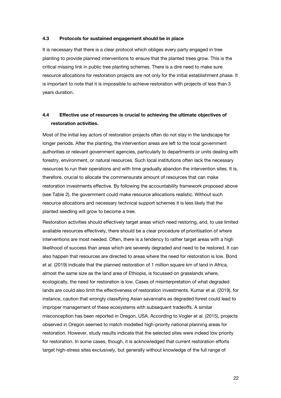#### **4.3 Protocols for sustained engagement should be in place**

It is necessary that there is a clear protocol which obliges every party engaged in tree planting to provide planned interventions to ensure that the planted trees grow. This is the critical missing link in public tree planting schemes. There is a dire need to make sure resource allocations for restoration projects are not only for the initial establishment phase. It is important to note that it is impossible to achieve restoration with projects of less than 3 years duration.

## **4.4 Effective use of resources is crucial to achieving the ultimate objectives of restoration activities.**

Most of the initial key actors of restoration projects often do not stay in the landscape for longer periods. After the planting, the intervention areas are left to the local government authorities or relevant government agencies, particularly to departments or units dealing with forestry, environment, or natural resources. Such local institutions often lack the necessary resources to run their operations and with time gradually abandon the intervention sites. It is, therefore, crucial to allocate the commensurate amount of resources that can make restoration investments effective. By following the accountability framework proposed above (see Table 2), the government could make resource allocations realistic. Without such resource allocations and necessary technical support schemes it is less likely that the planted seedling will grow to become a tree.

Restoration activities should effectively target areas which need restoring, and, to use limited available resources effectively, there should be a clear procedure of prioritisation of where interventions are most needed. Often, there is a tendency to rather target areas with a high likelihood of success than areas which are severely degraded and need to be restored. It can also happen that resources are directed to areas where the need for restoration is low. Bond et al. (2019) indicate that the planned restoration of 1 million square km of land in Africa, almost the same size as the land area of Ethiopia, is focussed on grasslands where, ecologically, the need for restoration is low. Cases of misinterpretation of what degraded lands are could also limit the effectiveness of restoration investments. Kumar et al. (2019), for instance, caution that wrongly classifying Asian savannahs as degraded forest could lead to improper management of these ecosystems with subsequent tradeoffs. A similar misconception has been reported in Oregon, USA. According to Vogler et al. (2015), projects observed in Oregon seemed to match modelled high-priority national planning areas for restoration. However, study results indicate that the selected sites were indeed low priority for restoration. In some cases, though, it is acknowledged that current restoration efforts target high-stress sites exclusively, but generally without knowledge of the full range of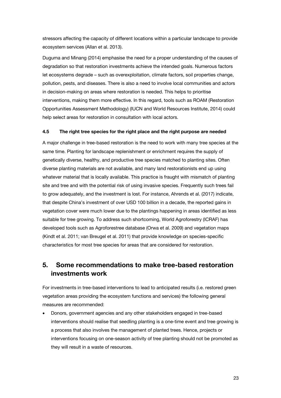stressors affecting the capacity of different locations within a particular landscape to provide ecosystem services (Allan et al. 2013).

Duguma and Minang (2014) emphasise the need for a proper understanding of the causes of degradation so that restoration investments achieve the intended goals. Numerous factors let ecosystems degrade – such as overexploitation, climate factors, soil properties change, pollution, pests, and diseases. There is also a need to involve local communities and actors in decision-making on areas where restoration is needed. This helps to prioritise interventions, making them more effective. In this regard, tools such as ROAM (Restoration Opportunities Assessment Methodology) (IUCN and World Resources Institute, 2014) could help select areas for restoration in consultation with local actors.

#### **4.5 The right tree species for the right place and the right purpose are needed**

A major challenge in tree-based restoration is the need to work with many tree species at the same time. Planting for landscape replenishment or enrichment requires the supply of genetically diverse, healthy, and productive tree species matched to planting sites. Often diverse planting materials are not available, and many land restorationists end up using whatever material that is locally available. This practice is fraught with mismatch of planting site and tree and with the potential risk of using invasive species. Frequently such trees fail to grow adequately, and the investment is lost. For instance, Ahrends et al. (2017) indicate, that despite China's investment of over USD 100 billion in a decade, the reported gains in vegetation cover were much lower due to the plantings happening in areas identified as less suitable for tree growing. To address such shortcoming, World Agroforestry (ICRAF) has developed tools such as Agroforestree database (Orwa et al. 2009) and vegetation maps (Kindt et al. 2011; van Breugel et al. 2011) that provide knowledge on species-specific characteristics for most tree species for areas that are considered for restoration.

## **5. Some recommendations to make tree-based restoration investments work**

For investments in tree-based interventions to lead to anticipated results (i.e. restored green vegetation areas providing the ecosystem functions and services) the following general measures are recommended:

• Donors, government agencies and any other stakeholders engaged in tree-based interventions should realise that seedling planting is a one-time event and tree growing is a process that also involves the management of planted trees. Hence, projects or interventions focusing on one-season activity of tree planting should not be promoted as they will result in a waste of resources.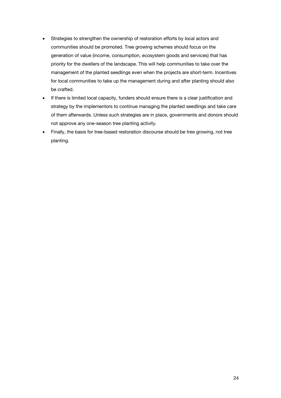- Strategies to strengthen the ownership of restoration efforts by local actors and communities should be promoted. Tree growing schemes should focus on the generation of value (income, consumption, ecosystem goods and services) that has priority for the dwellers of the landscape. This will help communities to take over the management of the planted seedlings even when the projects are short-term. Incentives for local communities to take up the management during and after planting should also be crafted.
- If there is limited local capacity, funders should ensure there is a clear justification and strategy by the implementors to continue managing the planted seedlings and take care of them afterwards. Unless such strategies are in place, governments and donors should not approve any one-season tree planting activity.
- Finally, the basis for tree-based restoration discourse should be tree growing, not tree planting.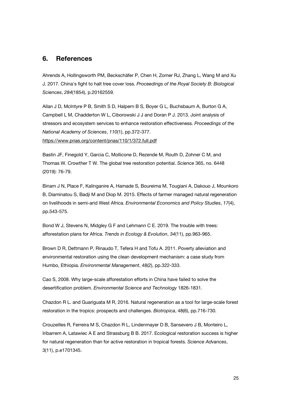## **6. References**

Ahrends A, Hollingsworth PM, Beckschäfer P, Chen H, Zomer RJ, Zhang L, Wang M and Xu J. 2017. China's fight to halt tree cover loss. *Proceedings of the Royal Society B: Biological Sciences*, *284*(1854), p.20162559.

Allan J D, McIntyre P B, Smith S D, Halpern B S, Boyer G L, Buchsbaum A, Burton G A, Campbell L M, Chadderton W L, Ciborowski J J and Doran P J. 2013. Joint analysis of stressors and ecosystem services to enhance restoration effectiveness. *Proceedings of the National Academy of Sciences*, *110*(1), pp.372-377. https://www.pnas.org/content/pnas/110/1/372.full.pdf

Bastin JF, Finegold Y, Garcia C, Mollicone D, Rezende M, Routh D, Zohner C M, and Thomas W. Crowther T W. The global tree restoration potential. *Science* 365, no. 6448 (2019): 76-79.

Binam J N, Place F, Kalinganire A, Hamade S, Boureima M, Tougiani A, Dakouo J, Mounkoro B, Diaminatou S, Badji M and Diop M. 2015. Effects of farmer managed natural regeneration on livelihoods in semi-arid West Africa. *Environmental Economics and Policy Studies*, *17*(4), pp.543-575.

Bond W J, Stevens N, Midgley G F and Lehmann C E. 2019. The trouble with trees: afforestation plans for Africa. *Trends in Ecology & Evolution*, *34*(11), pp.963-965.

Brown D R, Dettmann P, Rinaudo T, Tefera H and Tofu A. 2011. Poverty alleviation and environmental restoration using the clean development mechanism: a case study from Humbo, Ethiopia. *Environmental Management*, 48(2), pp.322-333.

Cao S, 2008. Why large-scale afforestation efforts in China have failed to solve the desertification problem. *Environmental Science and Technology* 1826-1831.

Chazdon R L. and Guariguata M R, 2016. Natural regeneration as a tool for large‐scale forest restoration in the tropics: prospects and challenges. *Biotropica*, 48(6), pp.716-730.

Crouzeilles R, Ferreira M S, Chazdon R L, Lindenmayer D B, Sansevero J B, Monteiro L, Iribarrem A, Latawiec A E and Strassburg B B. 2017. Ecological restoration success is higher for natural regeneration than for active restoration in tropical forests. *Science Advances*, 3(11), p.e1701345.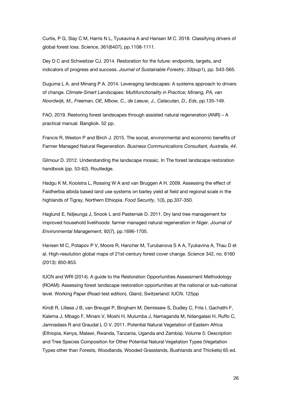Curtis, P G, Slay C M, Harris N L, Tyukavina A and Hansen M C. 2018. Classifying drivers of global forest loss. *Science*, 361(6407), pp.1108-1111.

Dey D C and Schweitzer CJ. 2014. Restoration for the future: endpoints, targets, and indicators of progress and success. *Journal of Sustainable Forestry*, *33*(sup1), pp. S43-S65.

Duguma L A. and Minang P A. 2014. Leveraging landscapes: A systems approach to drivers of change. *Climate-Smart Landscapes: Multifunctionality in Practice; Minang, PA, van Noordwijk, M., Freeman, OE, Mbow, C., de Leeuw, J., Catacutan, D., Eds*, pp.135-149.

FAO. 2019. Restoring forest landscapes through assisted natural regeneration (ANR) – A practical manual. Bangkok. 52 pp.

Francis R, Weston P and Birch J. 2015. The social, environmental and economic benefits of Farmer Managed Natural Regeneration. *Business Communications Consultant, Australia*, *44*.

Gilmour D. 2012. Understanding the landscape mosaic. In The forest landscape restoration handbook (pp. 53-62). Routledge.

Hadgu K M, Kooistra L, Rossing W A and van Bruggen A H. 2009. Assessing the effect of Faidherbia albida based land use systems on barley yield at field and regional scale in the highlands of Tigray, Northern Ethiopia. *Food Security*, 1(3), pp.337-350.

Haglund E, Ndjeunga J, Snook L and Pasternak D. 2011. Dry land tree management for improved household livelihoods: farmer managed natural regeneration in Niger. *Journal of Environmental Management*, 92(7), pp.1696-1705.

Hansen M C, Potapov P V, Moore R, Hancher M, Turubanova S A A, Tyukavina A, Thau D et al. High-resolution global maps of 21st-century forest cover change. *Science* 342, no. 6160 (2013): 850-853.

IUCN and WRI (2014). A guide to the Restoration Opportunities Assessment Methodology (ROAM): Assessing forest landscape restoration opportunities at the national or sub-national level. Working Paper (Road-test edition). Gland, Switzerland: IUCN. 125pp

Kindt R, Lillesø J B, van Breugel P, Bingham M, Demissew S, Dudley C, Friis I, Gachathi F, Kalema J, Mbago F, Minani V, Moshi H, Mulumba J, Namaganda M, Ndangalasi H, Ruffo C, Jamnadass R and Graudal L O V. 2011. Potential Natural Vegetation of Eastern Africa (Ethiopia, Kenya, Malawi, Rwanda, Tanzania, Uganda and Zambia). Volume 5: Description and Tree Species Composition for Other Potential Natural Vegetation Types (Vegetation Types other than Forests, Woodlands, Wooded Grasslands, Bushlands and Thickets) 65 ed.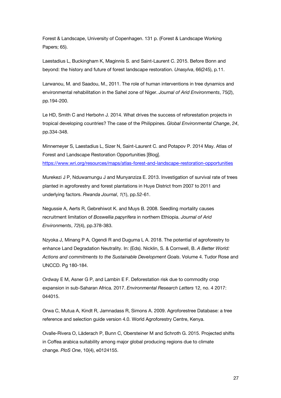Forest & Landscape, University of Copenhagen. 131 p. (Forest & Landscape Working Papers; 65).

Laestadius L, Buckingham K, Maginnis S. and Saint-Laurent C. 2015. Before Bonn and beyond: the history and future of forest landscape restoration. *Unasylva*, 66(245), p.11.

Larwanou, M. and Saadou, M., 2011. The role of human interventions in tree dynamics and environmental rehabilitation in the Sahel zone of Niger. *Journal of Arid Environments*, 75(2), pp.194-200.

Le HD, Smith C and Herbohn J. 2014. What drives the success of reforestation projects in tropical developing countries? The case of the Philippines. *Global Environmental Change*, *24*, pp.334-348.

Minnemeyer S, Laestadius L, Sizer N, Saint-Laurent C. and Potapov P. 2014 May. Atlas of Forest and Landscape Restoration Opportunities [Blog]. https://www.wri.org/resources/maps/atlas-forest-and-landscape-restoration-opportunities

Murekezi J P, Nduwamungu J and Munyanziza E. 2013. Investigation of survival rate of trees planted in agroforestry and forest plantations in Huye District from 2007 to 2011 and underlying factors. *Rwanda Journal*, *1*(1), pp.52-61.

Negussie A, Aerts R, Gebrehiwot K. and Muys B. 2008. Seedling mortality causes recruitment limitation of *Boswellia papyrifera* in northern Ethiopia. *Journal of Arid Environments*, *72*(4), pp.378-383.

Nzyoka J, Minang P A, Ogendi R and Duguma L A. 2018. The potential of agroforestry to enhance Land Degradation Neutrality. In: (Eds). Nicklin, S. & Cornwell, B. *A Better World: Actions and commitments to the Sustainable Development Goals*. Volume 4. Tudor Rose and UNCCD. Pg 180-184.

Ordway E M, Asner G P, and Lambin E F. Deforestation risk due to commodity crop expansion in sub-Saharan Africa. 2017. *Environmental Research Letters* 12, no. 4 2017: 044015.

Orwa C, Mutua A, Kindt R, Jamnadass R, Simons A. 2009. Agroforestree Database: a tree reference and selection guide version 4.0. World Agroforestry Centre, Kenya.

Ovalle-Rivera O, Läderach P, Bunn C, Obersteiner M and Schroth G. 2015. Projected shifts in Coffea arabica suitability among major global producing regions due to climate change. *PloS One*, 10(4), e0124155.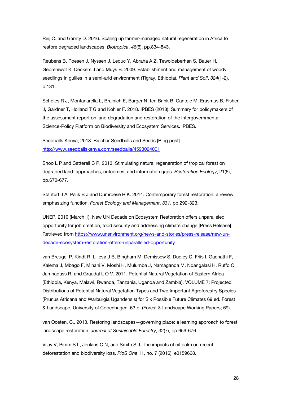Reij C. and Garrity D. 2016. Scaling up farmer‐managed natural regeneration in Africa to restore degraded landscapes. *Biotropica*, *48*(6), pp.834-843.

Reubens B, Poesen J, Nyssen J, Leduc Y, Abraha A Z, Tewoldeberhan S, Bauer H, Gebrehiwot K, Deckers J and Muys B. 2009. Establishment and management of woody seedlings in gullies in a semi-arid environment (Tigray, Ethiopia). *Plant and Soil*, *324*(1-2), p.131.

Scholes R J, Montanarella L, Brainich E, Barger N, ten Brink B, Cantele M, Erasmus B, Fisher J, Gardner T, Holland T G and Kohler F. 2018. IPBES (2018): Summary for policymakers of the assessment report on land degradation and restoration of the Intergovernmental Science-Policy Platform on Biodiversity and Ecosystem Services. IPBES.

Seedballs Kenya, 2018. Biochar Seedballs and Seeds [Blog post]. http://www.seedballskenya.com/seedballs/4593024001

Shoo L P and Catterall C P. 2013. Stimulating natural regeneration of tropical forest on degraded land: approaches, outcomes, and information gaps. *Restoration Ecology*, 21(6), pp.670-677.

Stanturf J A, Palik B J and Dumroese R K. 2014. Contemporary forest restoration: a review emphasizing function. *Forest Ecology and Management*, *331*, pp.292-323.

UNEP, 2019 (March 1). New UN Decade on Ecosystem Restoration offers unparalleled opportunity for job creation, food security and addressing climate change [Press Release]. Retrieved from https://www.unenvironment.org/news-and-stories/press-release/new-undecade-ecosystem-restoration-offers-unparalleled-opportunity

van Breugel P, Kindt R, Lillesø J B, Bingham M, Demissew S, Dudley C, Friis I, Gachathi F, Kalema J, Mbago F, Minani V, Moshi H, Mulumba J, Namaganda M, Ndangalasi H, Ruffo C, Jamnadass R. and Graudal L O V. 2011. Potential Natural Vegetation of Eastern Africa (Ethiopia, Kenya, Malawi, Rwanda, Tanzania, Uganda and Zambia). VOLUME 7: Projected Distributions of Potential Natural Vegetation Types and Two Important Agroforestry Species (Prunus Africana and Warburgia Ugandensis) for Six Possible Future Climates 69 ed. Forest & Landscape, University of Copenhagen. 63 p. (Forest & Landscape Working Papers; 69).

van Oosten, C., 2013. Restoring landscapes—governing place: a learning approach to forest landscape restoration. *Journal of Sustainable Forestry*, 32(7), pp.659-676.

Vijay V, Pimm S L, Jenkins C N, and Smith S J. The impacts of oil palm on recent deforestation and biodiversity loss. *PloS One* 11, no. 7 (2016): e0159668.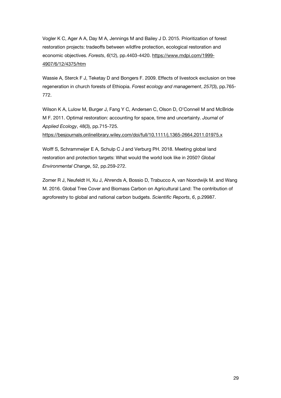Vogler K C, Ager A A, Day M A, Jennings M and Bailey J D. 2015. Prioritization of forest restoration projects: tradeoffs between wildfire protection, ecological restoration and economic objectives. *Forests*, *6*(12), pp.4403-4420. https://www.mdpi.com/1999- 4907/6/12/4375/htm

Wassie A, Sterck F J, Teketay D and Bongers F. 2009. Effects of livestock exclusion on tree regeneration in church forests of Ethiopia. *Forest ecology and management*, *257*(3), pp.765- 772.

Wilson K A, Lulow M, Burger J, Fang Y C, Andersen C, Olson D, O'Connell M and McBride M F. 2011. Optimal restoration: accounting for space, time and uncertainty. *Journal of Applied Ecology*, 48(3), pp.715-725.

https://besjournals.onlinelibrary.wiley.com/doi/full/10.1111/j.1365-2664.2011.01975.x

Wolff S, Schrammeijer E A, Schulp C J and Verburg PH. 2018. Meeting global land restoration and protection targets: What would the world look like in 2050? *Global Environmental Change*, 52, pp.259-272.

Zomer R J, Neufeldt H, Xu J, Ahrends A, Bossio D, Trabucco A, van Noordwijk M. and Wang M. 2016. Global Tree Cover and Biomass Carbon on Agricultural Land: The contribution of agroforestry to global and national carbon budgets. *Scientific Reports*, *6*, p.29987.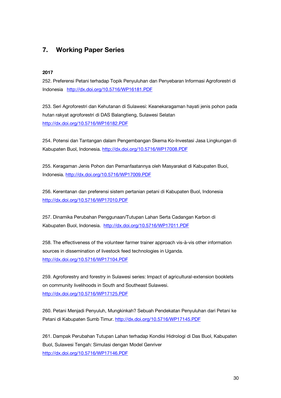## **7. Working Paper Series**

#### **2017**

252. Preferensi Petani terhadap Topik Penyuluhan dan Penyebaran Informasi Agroforestri di Indonesia http://dx.doi.org/10.5716/WP16181.PDF

253. Seri Agroforestri dan Kehutanan di Sulawesi: Keanekaragaman hayati jenis pohon pada hutan rakyat agroforestri di DAS Balangtieng, Sulawesi Selatan http://dx.doi.org/10.5716/WP16182.PDF

254. Potensi dan Tantangan dalam Pengembangan Skema Ko-Investasi Jasa Lingkungan di Kabupaten Buol, Indonesia. http://dx.doi.org/10.5716/WP17008.PDF

255. Keragaman Jenis Pohon dan Pemanfaatannya oleh Masyarakat di Kabupaten Buol, Indonesia. http://dx.doi.org/10.5716/WP17009.PDF

256. Kerentanan dan preferensi sistem pertanian petani di Kabupaten Buol, Indonesia http://dx.doi.org/10.5716/WP17010.PDF

257. Dinamika Perubahan Penggunaan/Tutupan Lahan Serta Cadangan Karbon di Kabupaten Buol, Indonesia. http://dx.doi.org/10.5716/WP17011.PDF

258. The effectiveness of the volunteer farmer trainer approach vis-à-vis other information sources in dissemination of livestock feed technologies in Uganda. http://dx.doi.org/10.5716/WP17104.PDF

259. Agroforestry and forestry in Sulawesi series: Impact of agricultural-extension booklets on community livelihoods in South and Southeast Sulawesi. http://dx.doi.org/10.5716/WP17125.PDF

260. Petani Menjadi Penyuluh, Mungkinkah? Sebuah Pendekatan Penyuluhan dari Petani ke Petani di Kabupaten Sumb Timur. http://dx.doi.org/10.5716/WP17145.PDF

261. Dampak Perubahan Tutupan Lahan terhadap Kondisi Hidrologi di Das Buol, Kabupaten Buol, Sulawesi Tengah: Simulasi dengan Model Genriver http://dx.doi.org/10.5716/WP17146.PDF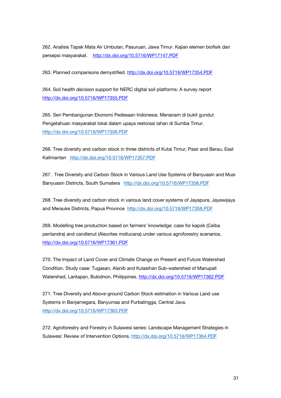262. Analisis Tapak Mata Air Umbulan, Pasuruan, Jawa Timur. Kajian elemen biofisik dan persepsi masyarakat. http://dx.doi.org/10.5716/WP17147.PDF

263. Planned comparisons demystified. http://dx.doi.org/10.5716/WP17354.PDF

264. Soil health decision support for NERC digital soil platforms: A survey report http://dx.doi.org/10.5716/WP17355.PDF

265. Seri Pembangunan Ekonomi Pedesaan Indonesia: Menanam di bukit gundul: Pengetahuan masyarakat lokal dalam upaya restorasi lahan di Sumba Timur. http://dx.doi.org/10.5716/WP17356.PDF

266. Tree diversity and carbon stock in three districts of Kutai Timur, Pasir and Berau, East Kalimantan http://dx.doi.org/10.5716/WP17357.PDF

267. Tree Diversity and Carbon Stock in Various Land Use Systems of Banyuasin and Musi Banyuasin Districts, South Sumatera http://dx.doi.org/10.5716/WP17358.PDF

268. Tree diversity and carbon stock in various land cover systems of Jayapura, Jayawijaya and Merauke Districts, Papua Province http://dx.doi.org/10.5716/WP17359.PDF

269. Modelling tree production based on farmers' knowledge: case for kapok (Ceiba pentandra) and candlenut (Aleurites mollucana) under various agroforestry scenarios. http://dx.doi.org/10.5716/WP17361.PDF

270. The Impact of Land Cover and Climate Change on Present and Future Watershed Condition. Study case: Tugasan, Alanib and Kulasihan Sub-watershed of Manupali Watershed, Lantapan, Bukidnon, Philippines. http://dx.doi.org/10.5716/WP17362.PDF

271. Tree Diversity and Above-ground Carbon Stock estimation in Various Land use Systems in Banjarnegara, Banyumas and Purbalingga, Central Java. http://dx.doi.org/10.5716/WP17363.PDF

272. Agroforestry and Forestry in Sulawesi series: Landscape Management Strategies in Sulawesi: Review of Intervention Options. http://dx.doi.org/10.5716/WP17364.PDF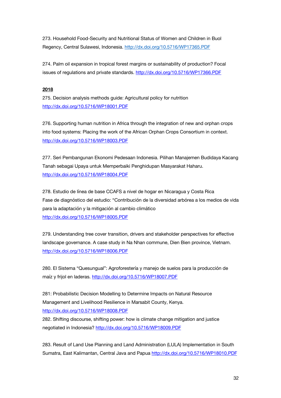273. Household Food-Security and Nutritional Status of Women and Children in Buol Regency, Central Sulawesi, Indonesia. http://dx.doi.org/10.5716/WP17365.PDF

274. Palm oil expansion in tropical forest margins or sustainability of production? Focal issues of regulations and private standards. http://dx.doi.org/10.5716/WP17366.PDF

#### **2018**

275. Decision analysis methods guide: Agricultural policy for nutrition http://dx.doi.org/10.5716/WP18001.PDF

276. Supporting human nutrition in Africa through the integration of new and orphan crops into food systems: Placing the work of the African Orphan Crops Consortium in context. http://dx.doi.org/10.5716/WP18003.PDF

277. Seri Pembangunan Ekonomi Pedesaan Indonesia. Pilihan Manajemen Budidaya Kacang Tanah sebagai Upaya untuk Memperbaiki Penghidupan Masyarakat Haharu. http://dx.doi.org/10.5716/WP18004.PDF

278. Estudio de línea de base CCAFS a nivel de hogar en Nicaragua y Costa Rica Fase de diagnóstico del estudio: "Contribución de la diversidad arbórea a los medios de vida para la adaptación y la mitigación al cambio climático http://dx.doi.org/10.5716/WP18005.PDF

279. Understanding tree cover transition, drivers and stakeholder perspectives for effective landscape governance. A case study in Na Nhan commune, Dien Bien province, Vietnam. http://dx.doi.org/10.5716/WP18006.PDF

280. El Sistema "Quesungual": Agroforestería y manejo de suelos para la producción de maíz y frijol en laderas. http://dx.doi.org/10.5716/WP18007.PDF

281: Probabilistic Decision Modelling to Determine Impacts on Natural Resource Management and Livelihood Resilience in Marsabit County, Kenya. http://dx.doi.org/10.5716/WP18008.PDF

282. Shifting discourse, shifting power: how is climate change mitigation and justice negotiated in Indonesia? http://dx.doi.org/10.5716/WP18009.PDF

283. Result of Land Use Planning and Land Administration (LULA) Implementation in South Sumatra, East Kalimantan, Central Java and Papua http://dx.doi.org/10.5716/WP18010.PDF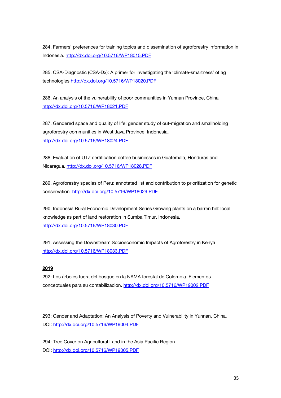284. Farmers' preferences for training topics and dissemination of agroforestry information in Indonesia. http://dx.doi.org/10.5716/WP18015.PDF

285. CSA-Diagnostic (CSA-Dx): A primer for investigating the 'climate-smartness' of ag technologies http://dx.doi.org/10.5716/WP18020.PDF

286. An analysis of the vulnerability of poor communities in Yunnan Province, China http://dx.doi.org/10.5716/WP18021.PDF

287. Gendered space and quality of life: gender study of out-migration and smallholding agroforestry communities in West Java Province, Indonesia. http://dx.doi.org/10.5716/WP18024.PDF

288: Evaluation of UTZ certification coffee businesses in Guatemala, Honduras and Nicaragua. http://dx.doi.org/10.5716/WP18028.PDF

289. Agroforestry species of Peru: annotated list and contribution to prioritization for genetic conservation. http://dx.doi.org/10.5716/WP18029.PDF

290. Indonesia Rural Economic Development Series.Growing plants on a barren hill: local knowledge as part of land restoration in Sumba Timur, Indonesia. http://dx.doi.org/10.5716/WP18030.PDF

291. Assessing the Downstream Socioeconomic Impacts of Agroforestry in Kenya http://dx.doi.org/10.5716/WP18033.PDF

#### **2019**

292: Los árboles fuera del bosque en la NAMA forestal de Colombia. Elementos conceptuales para su contabilización. http://dx.doi.org/10.5716/WP19002.PDF

293: Gender and Adaptation: An Analysis of Poverty and Vulnerability in Yunnan, China. DOI: http://dx.doi.org/10.5716/WP19004.PDF

294: Tree Cover on Agricultural Land in the Asia Pacific Region DOI: http://dx.doi.org/10.5716/WP19005.PDF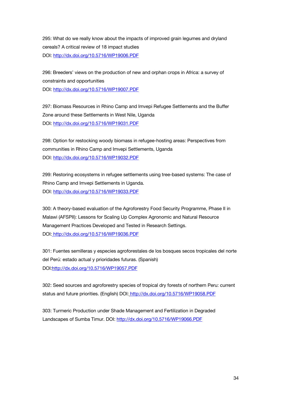295: What do we really know about the impacts of improved grain legumes and dryland cereals? A critical review of 18 impact studies DOI: http://dx.doi.org/10.5716/WP19006.PDF

296: Breeders' views on the production of new and orphan crops in Africa: a survey of constraints and opportunities DOI: http://dx.doi.org/10.5716/WP19007.PDF

297: Biomass Resources in Rhino Camp and Imvepi Refugee Settlements and the Buffer Zone around these Settlements in West Nile, Uganda DOI: http://dx.doi.org/10.5716/WP19031.PDF

298: Option for restocking woody biomass in refugee-hosting areas: Perspectives from communities in Rhino Camp and Imvepi Settlements, Uganda DOI: http://dx.doi.org/10.5716/WP19032.PDF

299: Restoring ecosystems in refugee settlements using tree-based systems: The case of Rhino Camp and Imvepi Settlements in Uganda. DOI: http://dx.doi.org/10.5716/WP19033.PDF

300: A theory-based evaluation of the Agroforestry Food Security Programme, Phase II in Malawi (AFSPII): Lessons for Scaling Up Complex Agronomic and Natural Resource Management Practices Developed and Tested in Research Settings. DOI: http://dx.doi.org/10.5716/WP19036.PDF

301: Fuentes semilleras y especies agroforestales de los bosques secos tropicales del norte del Perú: estado actual y prioridades futuras. (Spanish) DOI:http://dx.doi.org/10.5716/WP19057.PDF

302: Seed sources and agroforestry species of tropical dry forests of northern Peru: current status and future priorities. (English) DOI: http://dx.doi.org/10.5716/WP19058.PDF

303: Turmeric Production under Shade Management and Fertilization in Degraded Landscapes of Sumba Timur. DOI: http://dx.doi.org/10.5716/WP19066.PDF